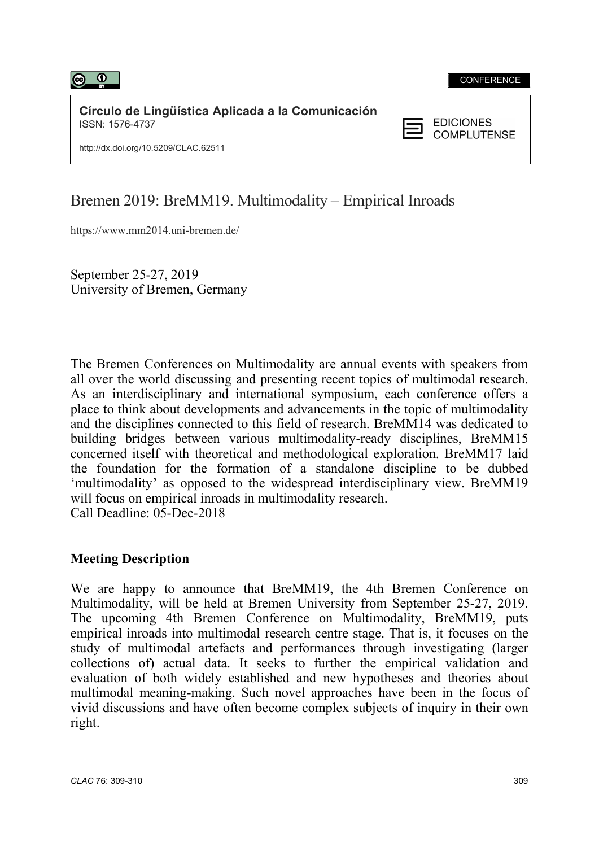

Círculo de Lingüística Aplicada a la Comunicación<br>ISSN: 1576-4737 ISSN: 1576-4737



http://dx.doi.org/10.5209/CLAC.62511

## Bremen 2019: BreMM19. Multimodality – Empirical Inroads

https://www.mm2014.uni-bremen.de/

 September 25-27, 2019 University of Bremen, Germany

The Bremen Conferences on Multimodality are annual events with speakers from all over the world discussing and presenting recent topics of multimodal research. As an interdisciplinary and international symposium, each conference offers a place to think about developments and advancements in the topic of multimodality and the disciplines connected to this field of research. BreMM14 was dedicated to building bridges between various multimodality-ready disciplines, BreMM15 concerned itself with theoretical and methodological exploration. BreMM17 laid the foundation for the formation of a standalone discipline to be dubbed 'multimodality' as opposed to the widespread interdisciplinary view. BreMM19 will focus on empirical inroads in multimodality research. Call Deadline: 05-Dec-2018

## Meeting Description

We are happy to announce that BreMM19, the 4th Bremen Conference on Multimodality, will be held at Bremen University from September 25-27, 2019. The upcoming 4th Bremen Conference on Multimodality, BreMM19, puts empirical inroads into multimodal research centre stage. That is, it focuses on the study of multimodal artefacts and performances through investigating (larger collections of) actual data. It seeks to further the empirical validation and evaluation of both widely established and new hypotheses and theories about multimodal meaning-making. Such novel approaches have been in the focus of vivid discussions and have often become complex subjects of inquiry in their own right.